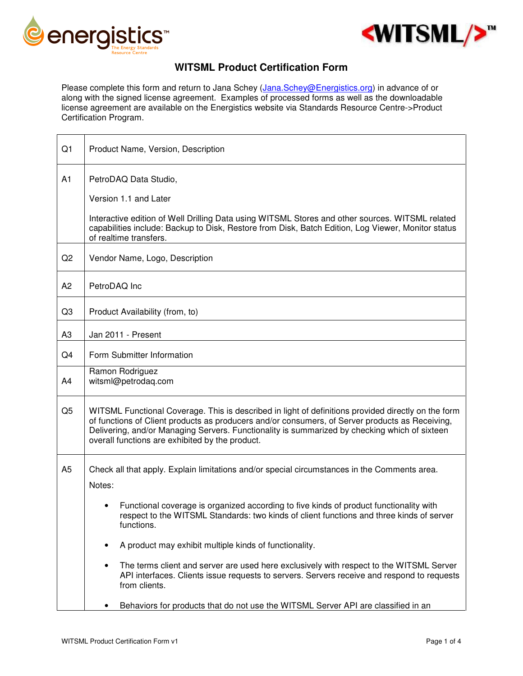

 $\Gamma$ 



## **WITSML Product Certification Form**

Please complete this form and return to Jana Schey (Jana.Schey@Energistics.org) in advance of or along with the signed license agreement. Examples of processed forms as well as the downloadable license agreement are available on the Energistics website via Standards Resource Centre->Product Certification Program.

| Q1             | Product Name, Version, Description                                                                                                                                                                                                                                                                                                                         |
|----------------|------------------------------------------------------------------------------------------------------------------------------------------------------------------------------------------------------------------------------------------------------------------------------------------------------------------------------------------------------------|
| A1             | PetroDAQ Data Studio,                                                                                                                                                                                                                                                                                                                                      |
|                | Version 1.1 and Later                                                                                                                                                                                                                                                                                                                                      |
|                | Interactive edition of Well Drilling Data using WITSML Stores and other sources. WITSML related<br>capabilities include: Backup to Disk, Restore from Disk, Batch Edition, Log Viewer, Monitor status<br>of realtime transfers.                                                                                                                            |
| Q <sub>2</sub> | Vendor Name, Logo, Description                                                                                                                                                                                                                                                                                                                             |
| A <sub>2</sub> | PetroDAQ Inc                                                                                                                                                                                                                                                                                                                                               |
| Q3             | Product Availability (from, to)                                                                                                                                                                                                                                                                                                                            |
| A3             | Jan 2011 - Present                                                                                                                                                                                                                                                                                                                                         |
| Q4             | Form Submitter Information                                                                                                                                                                                                                                                                                                                                 |
| A4             | Ramon Rodriguez<br>witsml@petrodaq.com                                                                                                                                                                                                                                                                                                                     |
| Q <sub>5</sub> | WITSML Functional Coverage. This is described in light of definitions provided directly on the form<br>of functions of Client products as producers and/or consumers, of Server products as Receiving,<br>Delivering, and/or Managing Servers. Functionality is summarized by checking which of sixteen<br>overall functions are exhibited by the product. |
| A <sub>5</sub> | Check all that apply. Explain limitations and/or special circumstances in the Comments area.                                                                                                                                                                                                                                                               |
|                | Notes:                                                                                                                                                                                                                                                                                                                                                     |
|                | Functional coverage is organized according to five kinds of product functionality with<br>respect to the WITSML Standards: two kinds of client functions and three kinds of server<br>functions.                                                                                                                                                           |
|                | A product may exhibit multiple kinds of functionality.<br>$\bullet$                                                                                                                                                                                                                                                                                        |
|                | The terms client and server are used here exclusively with respect to the WITSML Server<br>$\bullet$<br>API interfaces. Clients issue requests to servers. Servers receive and respond to requests<br>from clients.                                                                                                                                        |
|                | Behaviors for products that do not use the WITSML Server API are classified in an                                                                                                                                                                                                                                                                          |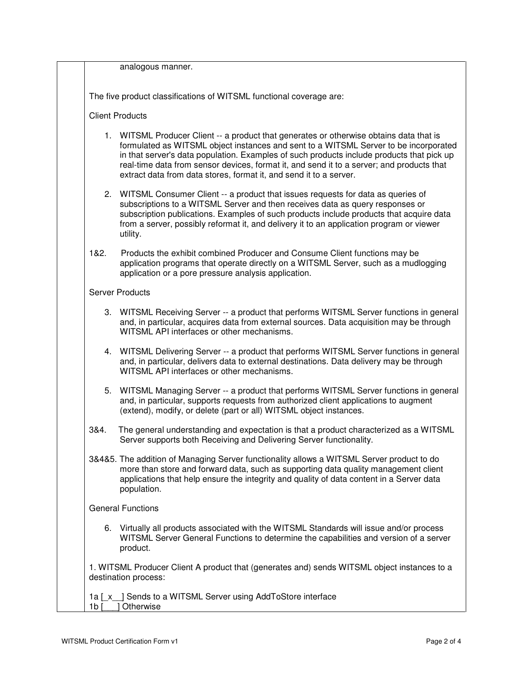analogous manner.

The five product classifications of WITSML functional coverage are:

## Client Products

- 1. WITSML Producer Client -- a product that generates or otherwise obtains data that is formulated as WITSML object instances and sent to a WITSML Server to be incorporated in that server's data population. Examples of such products include products that pick up real-time data from sensor devices, format it, and send it to a server; and products that extract data from data stores, format it, and send it to a server.
- 2. WITSML Consumer Client -- a product that issues requests for data as queries of subscriptions to a WITSML Server and then receives data as query responses or subscription publications. Examples of such products include products that acquire data from a server, possibly reformat it, and delivery it to an application program or viewer utility.
- 1&2. Products the exhibit combined Producer and Consume Client functions may be application programs that operate directly on a WITSML Server, such as a mudlogging application or a pore pressure analysis application.

## Server Products

- 3. WITSML Receiving Server -- a product that performs WITSML Server functions in general and, in particular, acquires data from external sources. Data acquisition may be through WITSML API interfaces or other mechanisms.
- 4. WITSML Delivering Server -- a product that performs WITSML Server functions in general and, in particular, delivers data to external destinations. Data delivery may be through WITSML API interfaces or other mechanisms.
- 5. WITSML Managing Server -- a product that performs WITSML Server functions in general and, in particular, supports requests from authorized client applications to augment (extend), modify, or delete (part or all) WITSML object instances.
- 3&4. The general understanding and expectation is that a product characterized as a WITSML Server supports both Receiving and Delivering Server functionality.
- 3&4&5. The addition of Managing Server functionality allows a WITSML Server product to do more than store and forward data, such as supporting data quality management client applications that help ensure the integrity and quality of data content in a Server data population.

## General Functions

6. Virtually all products associated with the WITSML Standards will issue and/or process WITSML Server General Functions to determine the capabilities and version of a server product.

1. WITSML Producer Client A product that (generates and) sends WITSML object instances to a destination process:

1a [x ] Sends to a WITSML Server using AddToStore interface 1b [ ] Otherwise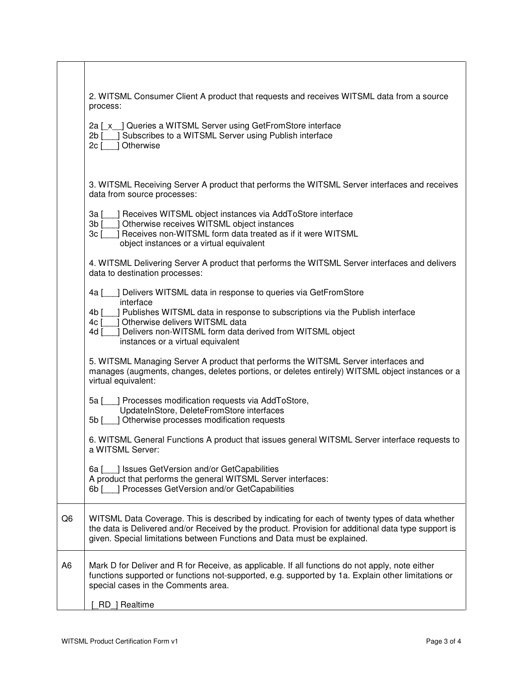|                | 2. WITSML Consumer Client A product that requests and receives WITSML data from a source<br>process:                                                                                                                                                                              |
|----------------|-----------------------------------------------------------------------------------------------------------------------------------------------------------------------------------------------------------------------------------------------------------------------------------|
|                | 2a [ x ] Queries a WITSML Server using GetFromStore interface<br>Subscribes to a WITSML Server using Publish interface<br>$2b$ [<br>Otherwise<br>2c                                                                                                                               |
|                | 3. WITSML Receiving Server A product that performs the WITSML Server interfaces and receives<br>data from source processes:                                                                                                                                                       |
|                | ] Receives WITSML object instances via AddToStore interface<br>3a [<br>Otherwise receives WITSML object instances<br>$3b$ $\lceil$<br>Receives non-WITSML form data treated as if it were WITSML<br>$3c$ [                                                                        |
|                | object instances or a virtual equivalent                                                                                                                                                                                                                                          |
|                | 4. WITSML Delivering Server A product that performs the WITSML Server interfaces and delivers<br>data to destination processes:                                                                                                                                                   |
|                | ] Delivers WITSML data in response to queries via GetFromStore<br>4a [<br>interface                                                                                                                                                                                               |
|                | ] Publishes WITSML data in response to subscriptions via the Publish interface<br>4b [<br>Otherwise delivers WITSML data<br>4c I                                                                                                                                                  |
|                | Delivers non-WITSML form data derived from WITSML object<br>4d [<br>instances or a virtual equivalent                                                                                                                                                                             |
|                | 5. WITSML Managing Server A product that performs the WITSML Server interfaces and<br>manages (augments, changes, deletes portions, or deletes entirely) WITSML object instances or a<br>virtual equivalent:                                                                      |
|                | ] Processes modification requests via AddToStore,<br>5a [<br>UpdateInStore, DeleteFromStore interfaces<br>5b [ ] Otherwise processes modification requests                                                                                                                        |
|                | 6. WITSML General Functions A product that issues general WITSML Server interface requests to<br>a WITSML Server:                                                                                                                                                                 |
|                | 6a [100] Issues GetVersion and/or GetCapabilities<br>A product that performs the general WITSML Server interfaces:<br>6b [ ] Processes GetVersion and/or GetCapabilities                                                                                                          |
| Q <sub>6</sub> | WITSML Data Coverage. This is described by indicating for each of twenty types of data whether<br>the data is Delivered and/or Received by the product. Provision for additional data type support is<br>given. Special limitations between Functions and Data must be explained. |
| A <sub>6</sub> | Mark D for Deliver and R for Receive, as applicable. If all functions do not apply, note either<br>functions supported or functions not-supported, e.g. supported by 1a. Explain other limitations or<br>special cases in the Comments area.                                      |
|                | RD   Realtime                                                                                                                                                                                                                                                                     |

 $\Gamma$ 

ヿ

٦